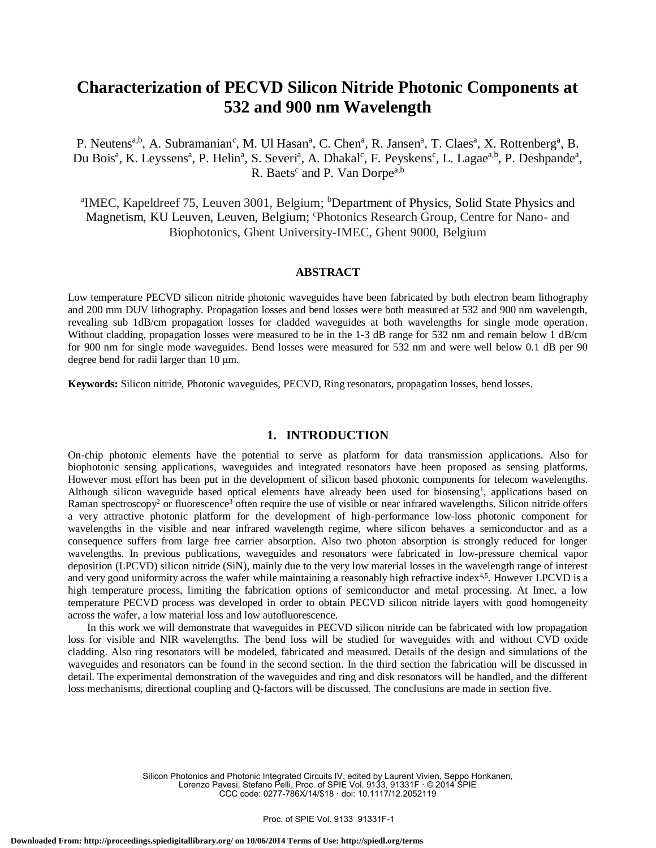# **Characterization of PECVD Silicon Nitride Photonic Components at 532 and 900 nm Wavelength**

P. Neutens<sup>a,b</sup>, A. Subramanian<sup>c</sup>, M. Ul Hasan<sup>a</sup>, C. Chen<sup>a</sup>, R. Jansen<sup>a</sup>, T. Claes<sup>a</sup>, X. Rottenberg<sup>a</sup>, B. Du Bois<sup>a</sup>, K. Leyssens<sup>a</sup>, P. Helin<sup>a</sup>, S. Severi<sup>a</sup>, A. Dhakal<sup>c</sup>, F. Peyskens<sup>c</sup>, L. Lagae<sup>a,b</sup>, P. Deshpande<sup>a</sup>, R. Baets<sup>c</sup> and P. Van Dorpe<sup>a,b</sup>

<sup>a</sup>IMEC, Kapeldreef 75, Leuven 3001, Belgium; <sup>b</sup>Department of Physics, Solid State Physics and Magnetism, KU Leuven, Leuven, Belgium; <sup>c</sup>Photonics Research Group, Centre for Nano- and Biophotonics, Ghent University-IMEC, Ghent 9000, Belgium

#### **ABSTRACT**

Low temperature PECVD silicon nitride photonic waveguides have been fabricated by both electron beam lithography and 200 mm DUV lithography. Propagation losses and bend losses were both measured at 532 and 900 nm wavelength, revealing sub 1dB/cm propagation losses for cladded waveguides at both wavelengths for single mode operation. Without cladding, propagation losses were measured to be in the 1-3 dB range for 532 nm and remain below 1 dB/cm for 900 nm for single mode waveguides. Bend losses were measured for 532 nm and were well below 0.1 dB per 90 degree bend for radii larger than 10 μm.

**Keywords:** Silicon nitride, Photonic waveguides, PECVD, Ring resonators, propagation losses, bend losses.

## **1. INTRODUCTION**

On-chip photonic elements have the potential to serve as platform for data transmission applications. Also for biophotonic sensing applications, waveguides and integrated resonators have been proposed as sensing platforms. However most effort has been put in the development of silicon based photonic components for telecom wavelengths. Although silicon waveguide based optical elements have already been used for biosensing<sup>1</sup>, applications based on Raman spectroscopy<sup>2</sup> or fluorescence<sup>3</sup> often require the use of visible or near infrared wavelengths. Silicon nitride offers a very attractive photonic platform for the development of high-performance low-loss photonic component for wavelengths in the visible and near infrared wavelength regime, where silicon behaves a semiconductor and as a consequence suffers from large free carrier absorption. Also two photon absorption is strongly reduced for longer wavelengths. In previous publications, waveguides and resonators were fabricated in low-pressure chemical vapor deposition (LPCVD) silicon nitride (SiN), mainly due to the very low material losses in the wavelength range of interest and very good uniformity across the wafer while maintaining a reasonably high refractive index<sup>4,5</sup>. However LPCVD is a high temperature process, limiting the fabrication options of semiconductor and metal processing. At Imec, a low temperature PECVD process was developed in order to obtain PECVD silicon nitride layers with good homogeneity across the wafer, a low material loss and low autofluorescence.

In this work we will demonstrate that waveguides in PECVD silicon nitride can be fabricated with low propagation loss for visible and NIR wavelengths. The bend loss will be studied for waveguides with and without CVD oxide cladding. Also ring resonators will be modeled, fabricated and measured. Details of the design and simulations of the waveguides and resonators can be found in the second section. In the third section the fabrication will be discussed in detail. The experimental demonstration of the waveguides and ring and disk resonators will be handled, and the different loss mechanisms, directional coupling and Q-factors will be discussed. The conclusions are made in section five.

> Silicon Photonics and Photonic Integrated Circuits IV, edited by Laurent Vivien, Seppo Honkanen, Lorenzo Pavesi, Stefano Pelli, Proc. of SPIE Vol. 9133, 91331F · © 2014 SPIE CCC code: 0277-786X/14/\$18 · doi: 10.1117/12.2052119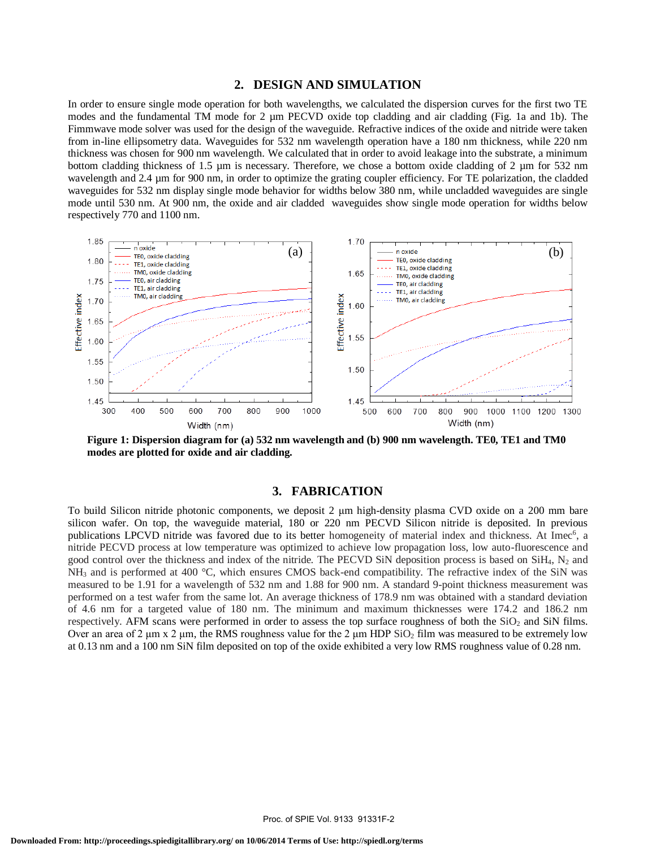#### **2. DESIGN AND SIMULATION**

In order to ensure single mode operation for both wavelengths, we calculated the dispersion curves for the first two TE modes and the fundamental TM mode for 2  $\mu$ m PECVD oxide top cladding and air cladding (Fig. 1a and 1b). The Fimmwave mode solver was used for the design of the waveguide. Refractive indices of the oxide and nitride were taken from in-line ellipsometry data. Waveguides for 532 nm wavelength operation have a 180 nm thickness, while 220 nm thickness was chosen for 900 nm wavelength. We calculated that in order to avoid leakage into the substrate, a minimum bottom cladding thickness of 1.5 µm is necessary. Therefore, we chose a bottom oxide cladding of 2 µm for 532 nm wavelength and 2.4 µm for 900 nm, in order to optimize the grating coupler efficiency. For TE polarization, the cladded waveguides for 532 nm display single mode behavior for widths below 380 nm, while uncladded waveguides are single mode until 530 nm. At 900 nm, the oxide and air cladded waveguides show single mode operation for widths below respectively 770 and 1100 nm.



**Figure 1: Dispersion diagram for (a) 532 nm wavelength and (b) 900 nm wavelength. TE0, TE1 and TM0 modes are plotted for oxide and air cladding.**

### **3. FABRICATION**

To build Silicon nitride photonic components, we deposit 2 μm high-density plasma CVD oxide on a 200 mm bare silicon wafer. On top, the waveguide material, 180 or 220 nm PECVD Silicon nitride is deposited. In previous publications LPCVD nitride was favored due to its better homogeneity of material index and thickness. At Imec<sup>6</sup>, a nitride PECVD process at low temperature was optimized to achieve low propagation loss, low auto-fluorescence and good control over the thickness and index of the nitride. The PECVD SiN deposition process is based on SiH<sub>4</sub>, N<sub>2</sub> and  $NH_3$  and is performed at 400 °C, which ensures CMOS back-end compatibility. The refractive index of the SiN was measured to be 1.91 for a wavelength of 532 nm and 1.88 for 900 nm. A standard 9-point thickness measurement was performed on a test wafer from the same lot. An average thickness of 178.9 nm was obtained with a standard deviation of 4.6 nm for a targeted value of 180 nm. The minimum and maximum thicknesses were 174.2 and 186.2 nm respectively. AFM scans were performed in order to assess the top surface roughness of both the  $SiO<sub>2</sub>$  and  $SiN$  films. Over an area of 2  $\mu$ m x 2  $\mu$ m, the RMS roughness value for the 2  $\mu$ m HDP SiO<sub>2</sub> film was measured to be extremely low at 0.13 nm and a 100 nm SiN film deposited on top of the oxide exhibited a very low RMS roughness value of 0.28 nm.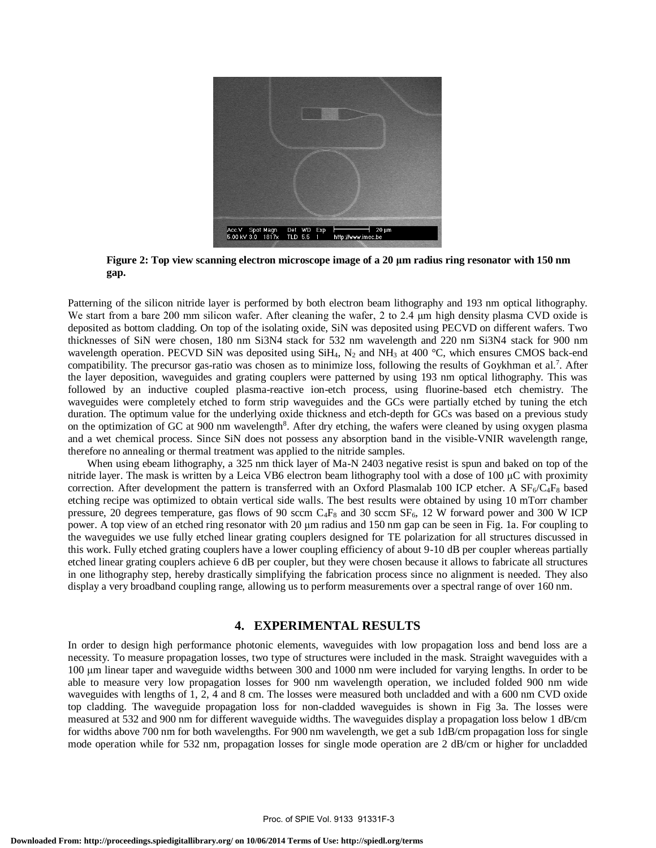

**Figure 2: Top view scanning electron microscope image of a 20 μm radius ring resonator with 150 nm gap.**

Patterning of the silicon nitride layer is performed by both electron beam lithography and 193 nm optical lithography. We start from a bare 200 mm silicon wafer. After cleaning the wafer, 2 to 2.4 μm high density plasma CVD oxide is deposited as bottom cladding. On top of the isolating oxide, SiN was deposited using PECVD on different wafers. Two thicknesses of SiN were chosen, 180 nm Si3N4 stack for 532 nm wavelength and 220 nm Si3N4 stack for 900 nm wavelength operation. PECVD SiN was deposited using SiH<sub>4</sub>,  $N_2$  and NH<sub>3</sub> at 400 °C, which ensures CMOS back-end compatibility. The precursor gas-ratio was chosen as to minimize loss, following the results of Goykhman et al.<sup>7</sup>. After the layer deposition, waveguides and grating couplers were patterned by using 193 nm optical lithography. This was followed by an inductive coupled plasma-reactive ion-etch process, using fluorine-based etch chemistry. The waveguides were completely etched to form strip waveguides and the GCs were partially etched by tuning the etch duration. The optimum value for the underlying oxide thickness and etch-depth for GCs was based on a previous study on the optimization of GC at 900 nm wavelength<sup>8</sup>. After dry etching, the wafers were cleaned by using oxygen plasma and a wet chemical process. Since SiN does not possess any absorption band in the visible-VNIR wavelength range, therefore no annealing or thermal treatment was applied to the nitride samples.

When using ebeam lithography, a 325 nm thick layer of Ma-N 2403 negative resist is spun and baked on top of the nitride layer. The mask is written by a Leica VB6 electron beam lithography tool with a dose of 100 μC with proximity correction. After development the pattern is transferred with an Oxford Plasmalab 100 ICP etcher. A  $SF_6/C_4F_8$  based etching recipe was optimized to obtain vertical side walls. The best results were obtained by using 10 mTorr chamber pressure, 20 degrees temperature, gas flows of 90 sccm C<sub>4F8</sub> and 30 sccm SF<sub>6</sub>, 12 W forward power and 300 W ICP power. A top view of an etched ring resonator with 20 μm radius and 150 nm gap can be seen in Fig. 1a. For coupling to the waveguides we use fully etched linear grating couplers designed for TE polarization for all structures discussed in this work. Fully etched grating couplers have a lower coupling efficiency of about 9-10 dB per coupler whereas partially etched linear grating couplers achieve 6 dB per coupler, but they were chosen because it allows to fabricate all structures in one lithography step, hereby drastically simplifying the fabrication process since no alignment is needed. They also display a very broadband coupling range, allowing us to perform measurements over a spectral range of over 160 nm.

#### **4. EXPERIMENTAL RESULTS**

In order to design high performance photonic elements, waveguides with low propagation loss and bend loss are a necessity. To measure propagation losses, two type of structures were included in the mask. Straight waveguides with a 100 μm linear taper and waveguide widths between 300 and 1000 nm were included for varying lengths. In order to be able to measure very low propagation losses for 900 nm wavelength operation, we included folded 900 nm wide waveguides with lengths of 1, 2, 4 and 8 cm. The losses were measured both uncladded and with a 600 nm CVD oxide top cladding. The waveguide propagation loss for non-cladded waveguides is shown in Fig 3a. The losses were measured at 532 and 900 nm for different waveguide widths. The waveguides display a propagation loss below 1 dB/cm for widths above 700 nm for both wavelengths. For 900 nm wavelength, we get a sub 1dB/cm propagation loss for single mode operation while for 532 nm, propagation losses for single mode operation are 2 dB/cm or higher for uncladded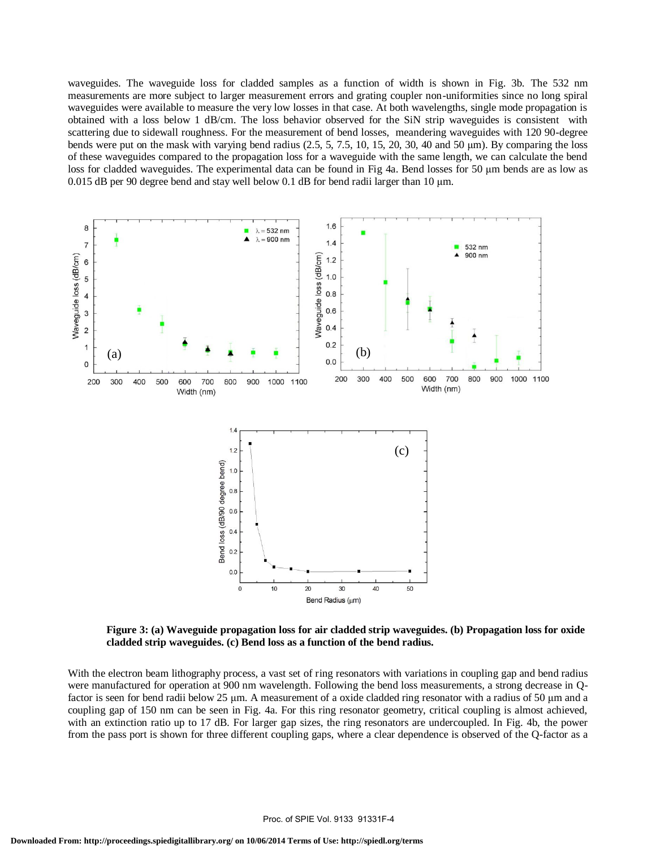waveguides. The waveguide loss for cladded samples as a function of width is shown in Fig. 3b. The 532 nm measurements are more subject to larger measurement errors and grating coupler non-uniformities since no long spiral waveguides were available to measure the very low losses in that case. At both wavelengths, single mode propagation is obtained with a loss below 1 dB/cm. The loss behavior observed for the SiN strip waveguides is consistent with scattering due to sidewall roughness. For the measurement of bend losses, meandering waveguides with 120 90-degree bends were put on the mask with varying bend radius  $(2.5, 5, 7.5, 10, 15, 20, 30, 40, 40, 50, \mu m)$ . By comparing the loss of these waveguides compared to the propagation loss for a waveguide with the same length, we can calculate the bend loss for cladded waveguides. The experimental data can be found in Fig 4a. Bend losses for 50 μm bends are as low as 0.015 dB per 90 degree bend and stay well below 0.1 dB for bend radii larger than 10 μm.



**Figure 3: (a) Waveguide propagation loss for air cladded strip waveguides. (b) Propagation loss for oxide cladded strip waveguides. (c) Bend loss as a function of the bend radius.**

With the electron beam lithography process, a vast set of ring resonators with variations in coupling gap and bend radius were manufactured for operation at 900 nm wavelength. Following the bend loss measurements, a strong decrease in Qfactor is seen for bend radii below 25 μm. A measurement of a oxide cladded ring resonator with a radius of 50 μm and a coupling gap of 150 nm can be seen in Fig. 4a. For this ring resonator geometry, critical coupling is almost achieved, with an extinction ratio up to 17 dB. For larger gap sizes, the ring resonators are undercoupled. In Fig. 4b, the power from the pass port is shown for three different coupling gaps, where a clear dependence is observed of the Q-factor as a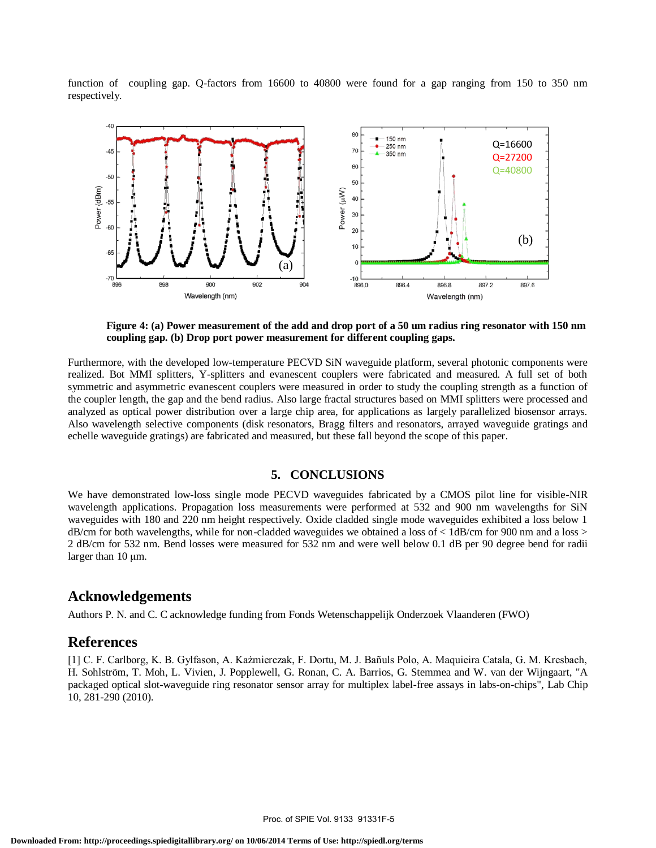function of coupling gap. Q-factors from 16600 to 40800 were found for a gap ranging from 150 to 350 nm respectively.



**Figure 4: (a) Power measurement of the add and drop port of a 50 um radius ring resonator with 150 nm coupling gap. (b) Drop port power measurement for different coupling gaps.**

Furthermore, with the developed low-temperature PECVD SiN waveguide platform, several photonic components were realized. Bot MMI splitters, Y-splitters and evanescent couplers were fabricated and measured. A full set of both symmetric and asymmetric evanescent couplers were measured in order to study the coupling strength as a function of the coupler length, the gap and the bend radius. Also large fractal structures based on MMI splitters were processed and analyzed as optical power distribution over a large chip area, for applications as largely parallelized biosensor arrays. Also wavelength selective components (disk resonators, Bragg filters and resonators, arrayed waveguide gratings and echelle waveguide gratings) are fabricated and measured, but these fall beyond the scope of this paper.

#### **5. CONCLUSIONS**

We have demonstrated low-loss single mode PECVD waveguides fabricated by a CMOS pilot line for visible-NIR wavelength applications. Propagation loss measurements were performed at 532 and 900 nm wavelengths for SiN waveguides with 180 and 220 nm height respectively. Oxide cladded single mode waveguides exhibited a loss below 1  $dB/cm$  for both wavelengths, while for non-cladded waveguides we obtained a loss of  $\lt$  1dB/cm for 900 nm and a loss  $>$ 2 dB/cm for 532 nm. Bend losses were measured for 532 nm and were well below 0.1 dB per 90 degree bend for radii larger than 10 μm.

# **Acknowledgements**

Authors P. N. and C. C acknowledge funding from Fonds Wetenschappelijk Onderzoek Vlaanderen (FWO)

## **References**

[1] C. F. Carlborg, K. B. Gylfason, A. Kaźmierczak, F. Dortu, M. J. Bañuls Polo, A. Maquieira Catala, G. M. Kresbach, H. Sohlström, T. Moh, L. Vivien, J. Popplewell, G. Ronan, C. A. Barrios, G. Stemmea and W. van der Wijngaart, "A packaged optical slot-waveguide ring resonator sensor array for multiplex label-free assays in labs-on-chips", Lab Chip 10, 281-290 (2010).